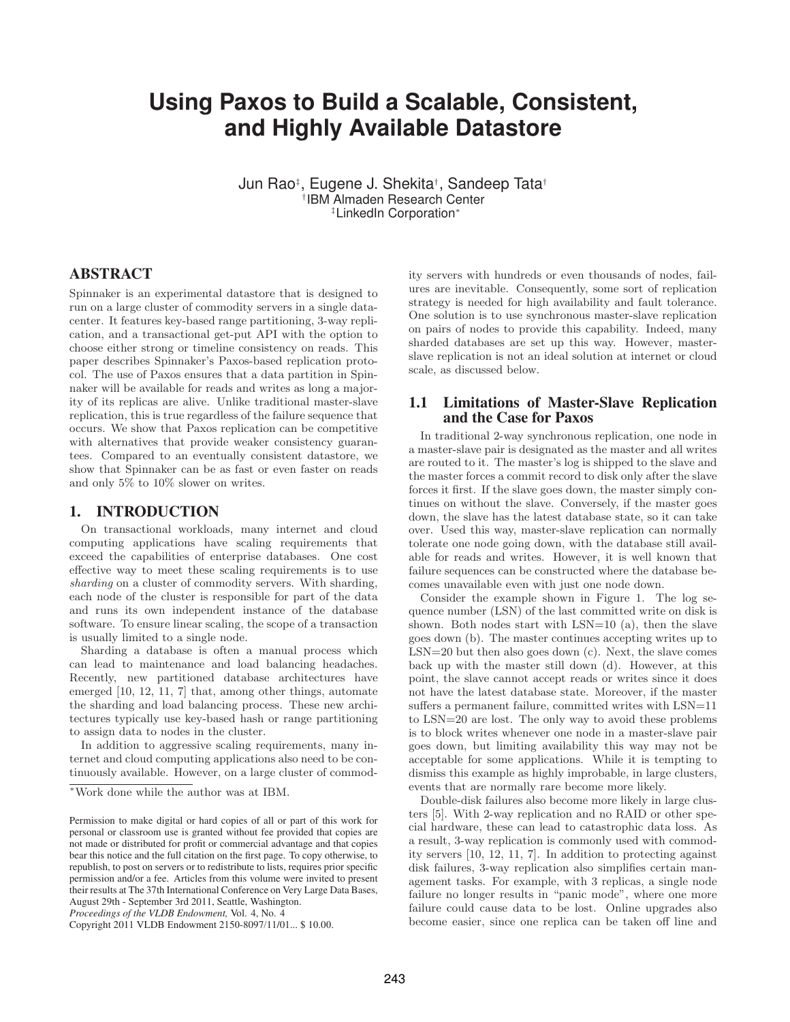# **Using Paxos to Build a Scalable, Consistent, and Highly Available Datastore**

Jun Rao‡ , Eugene J. Shekita† , Sandeep Tata† † IBM Almaden Research Center ‡LinkedIn Corporation<sup>∗</sup>

# **ABSTRACT**

Spinnaker is an experimental datastore that is designed to run on a large cluster of commodity servers in a single datacenter. It features key-based range partitioning, 3-way replication, and a transactional get-put API with the option to choose either strong or timeline consistency on reads. This paper describes Spinnaker's Paxos-based replication protocol. The use of Paxos ensures that a data partition in Spinnaker will be available for reads and writes as long a majority of its replicas are alive. Unlike traditional master-slave replication, this is true regardless of the failure sequence that occurs. We show that Paxos replication can be competitive with alternatives that provide weaker consistency guarantees. Compared to an eventually consistent datastore, we show that Spinnaker can be as fast or even faster on reads and only 5% to 10% slower on writes.

## **1. INTRODUCTION**

On transactional workloads, many internet and cloud computing applications have scaling requirements that exceed the capabilities of enterprise databases. One cost effective way to meet these scaling requirements is to use sharding on a cluster of commodity servers. With sharding, each node of the cluster is responsible for part of the data and runs its own independent instance of the database software. To ensure linear scaling, the scope of a transaction is usually limited to a single node.

Sharding a database is often a manual process which can lead to maintenance and load balancing headaches. Recently, new partitioned database architectures have emerged [10, 12, 11, 7] that, among other things, automate the sharding and load balancing process. These new architectures typically use key-based hash or range partitioning to assign data to nodes in the cluster.

In addition to aggressive scaling requirements, many internet and cloud computing applications also need to be continuously available. However, on a large cluster of commod-

*Proceedings of the VLDB Endowment,* Vol. 4, No. 4

ity servers with hundreds or even thousands of nodes, failures are inevitable. Consequently, some sort of replication strategy is needed for high availability and fault tolerance. One solution is to use synchronous master-slave replication on pairs of nodes to provide this capability. Indeed, many sharded databases are set up this way. However, masterslave replication is not an ideal solution at internet or cloud scale, as discussed below.

## **1.1 Limitations of Master-Slave Replication and the Case for Paxos**

In traditional 2-way synchronous replication, one node in a master-slave pair is designated as the master and all writes are routed to it. The master's log is shipped to the slave and the master forces a commit record to disk only after the slave forces it first. If the slave goes down, the master simply continues on without the slave. Conversely, if the master goes down, the slave has the latest database state, so it can take over. Used this way, master-slave replication can normally tolerate one node going down, with the database still available for reads and writes. However, it is well known that failure sequences can be constructed where the database becomes unavailable even with just one node down.

Consider the example shown in Figure 1. The log sequence number (LSN) of the last committed write on disk is shown. Both nodes start with LSN=10 (a), then the slave goes down (b). The master continues accepting writes up to LSN=20 but then also goes down (c). Next, the slave comes back up with the master still down (d). However, at this point, the slave cannot accept reads or writes since it does not have the latest database state. Moreover, if the master suffers a permanent failure, committed writes with LSN=11 to LSN=20 are lost. The only way to avoid these problems is to block writes whenever one node in a master-slave pair goes down, but limiting availability this way may not be acceptable for some applications. While it is tempting to dismiss this example as highly improbable, in large clusters, events that are normally rare become more likely.

Double-disk failures also become more likely in large clusters [5]. With 2-way replication and no RAID or other special hardware, these can lead to catastrophic data loss. As a result, 3-way replication is commonly used with commodity servers [10, 12, 11, 7]. In addition to protecting against disk failures, 3-way replication also simplifies certain management tasks. For example, with 3 replicas, a single node failure no longer results in "panic mode", where one more failure could cause data to be lost. Online upgrades also become easier, since one replica can be taken off line and

<sup>∗</sup>Work done while the author was at IBM.

Permission to make digital or hard copies of all or part of this work for personal or classroom use is granted without fee provided that copies are not made or distributed for profit or commercial advantage and that copies bear this notice and the full citation on the first page. To copy otherwise, to republish, to post on servers or to redistribute to lists, requires prior specific permission and/or a fee. Articles from this volume were invited to present their results at The 37th International Conference on Very Large Data Bases, August 29th - September 3rd 2011, Seattle, Washington.

Copyright 2011 VLDB Endowment 2150-8097/11/01... \$ 10.00.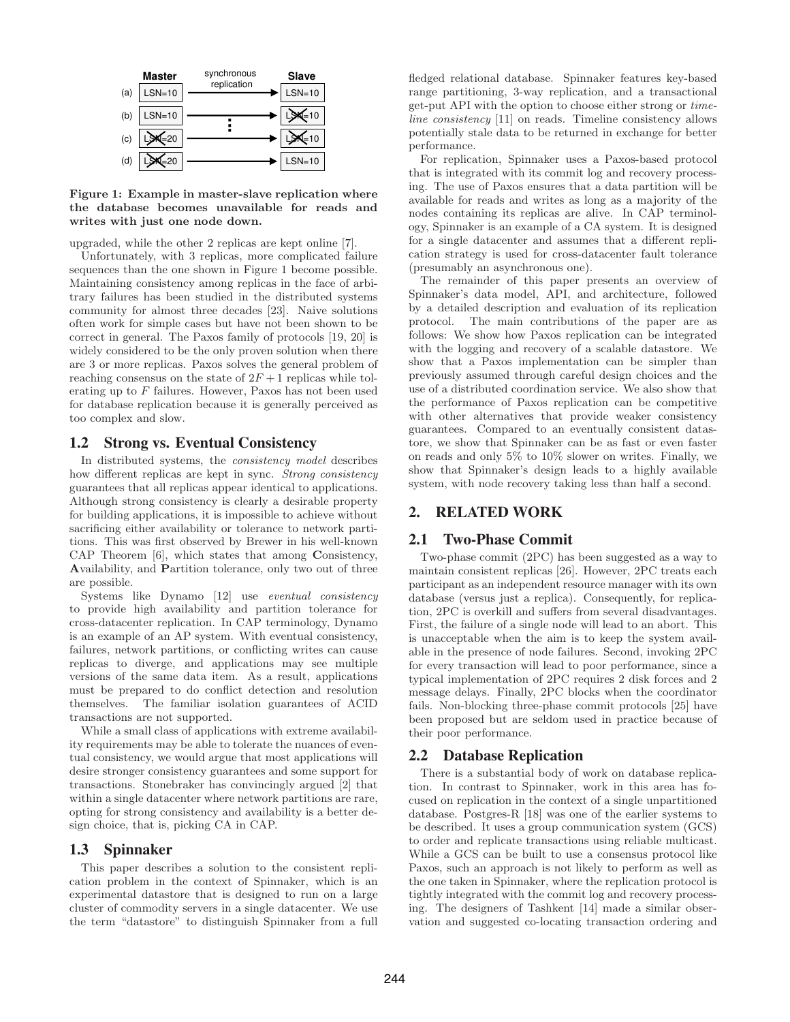

Figure 1: Example in master-slave replication where the database becomes unavailable for reads and writes with just one node down.

upgraded, while the other 2 replicas are kept online [7].

Unfortunately, with 3 replicas, more complicated failure sequences than the one shown in Figure 1 become possible. Maintaining consistency among replicas in the face of arbitrary failures has been studied in the distributed systems community for almost three decades [23]. Naive solutions often work for simple cases but have not been shown to be correct in general. The Paxos family of protocols [19, 20] is widely considered to be the only proven solution when there are 3 or more replicas. Paxos solves the general problem of reaching consensus on the state of  $2F + 1$  replicas while tolerating up to  $F$  failures. However, Paxos has not been used for database replication because it is generally perceived as too complex and slow.

## **1.2 Strong vs. Eventual Consistency**

In distributed systems, the consistency model describes how different replicas are kept in sync. Strong consistency guarantees that all replicas appear identical to applications. Although strong consistency is clearly a desirable property for building applications, it is impossible to achieve without sacrificing either availability or tolerance to network partitions. This was first observed by Brewer in his well-known CAP Theorem [6], which states that among Consistency, Availability, and Partition tolerance, only two out of three are possible.

Systems like Dynamo [12] use eventual consistency to provide high availability and partition tolerance for cross-datacenter replication. In CAP terminology, Dynamo is an example of an AP system. With eventual consistency, failures, network partitions, or conflicting writes can cause replicas to diverge, and applications may see multiple versions of the same data item. As a result, applications must be prepared to do conflict detection and resolution themselves. The familiar isolation guarantees of ACID transactions are not supported.

While a small class of applications with extreme availability requirements may be able to tolerate the nuances of eventual consistency, we would argue that most applications will desire stronger consistency guarantees and some support for transactions. Stonebraker has convincingly argued [2] that within a single datacenter where network partitions are rare, opting for strong consistency and availability is a better design choice, that is, picking CA in CAP.

#### **1.3 Spinnaker**

This paper describes a solution to the consistent replication problem in the context of Spinnaker, which is an experimental datastore that is designed to run on a large cluster of commodity servers in a single datacenter. We use the term "datastore" to distinguish Spinnaker from a full fledged relational database. Spinnaker features key-based range partitioning, 3-way replication, and a transactional get-put API with the option to choose either strong or timeline consistency [11] on reads. Timeline consistency allows potentially stale data to be returned in exchange for better performance.

For replication, Spinnaker uses a Paxos-based protocol that is integrated with its commit log and recovery processing. The use of Paxos ensures that a data partition will be available for reads and writes as long as a majority of the nodes containing its replicas are alive. In CAP terminology, Spinnaker is an example of a CA system. It is designed for a single datacenter and assumes that a different replication strategy is used for cross-datacenter fault tolerance (presumably an asynchronous one).

The remainder of this paper presents an overview of Spinnaker's data model, API, and architecture, followed by a detailed description and evaluation of its replication protocol. The main contributions of the paper are as follows: We show how Paxos replication can be integrated with the logging and recovery of a scalable datastore. We show that a Paxos implementation can be simpler than previously assumed through careful design choices and the use of a distributed coordination service. We also show that the performance of Paxos replication can be competitive with other alternatives that provide weaker consistency guarantees. Compared to an eventually consistent datastore, we show that Spinnaker can be as fast or even faster on reads and only 5% to 10% slower on writes. Finally, we show that Spinnaker's design leads to a highly available system, with node recovery taking less than half a second.

# **2. RELATED WORK**

#### **2.1 Two-Phase Commit**

Two-phase commit (2PC) has been suggested as a way to maintain consistent replicas [26]. However, 2PC treats each participant as an independent resource manager with its own database (versus just a replica). Consequently, for replication, 2PC is overkill and suffers from several disadvantages. First, the failure of a single node will lead to an abort. This is unacceptable when the aim is to keep the system available in the presence of node failures. Second, invoking 2PC for every transaction will lead to poor performance, since a typical implementation of 2PC requires 2 disk forces and 2 message delays. Finally, 2PC blocks when the coordinator fails. Non-blocking three-phase commit protocols [25] have been proposed but are seldom used in practice because of their poor performance.

#### **2.2 Database Replication**

There is a substantial body of work on database replication. In contrast to Spinnaker, work in this area has focused on replication in the context of a single unpartitioned database. Postgres-R [18] was one of the earlier systems to be described. It uses a group communication system (GCS) to order and replicate transactions using reliable multicast. While a GCS can be built to use a consensus protocol like Paxos, such an approach is not likely to perform as well as the one taken in Spinnaker, where the replication protocol is tightly integrated with the commit log and recovery processing. The designers of Tashkent [14] made a similar observation and suggested co-locating transaction ordering and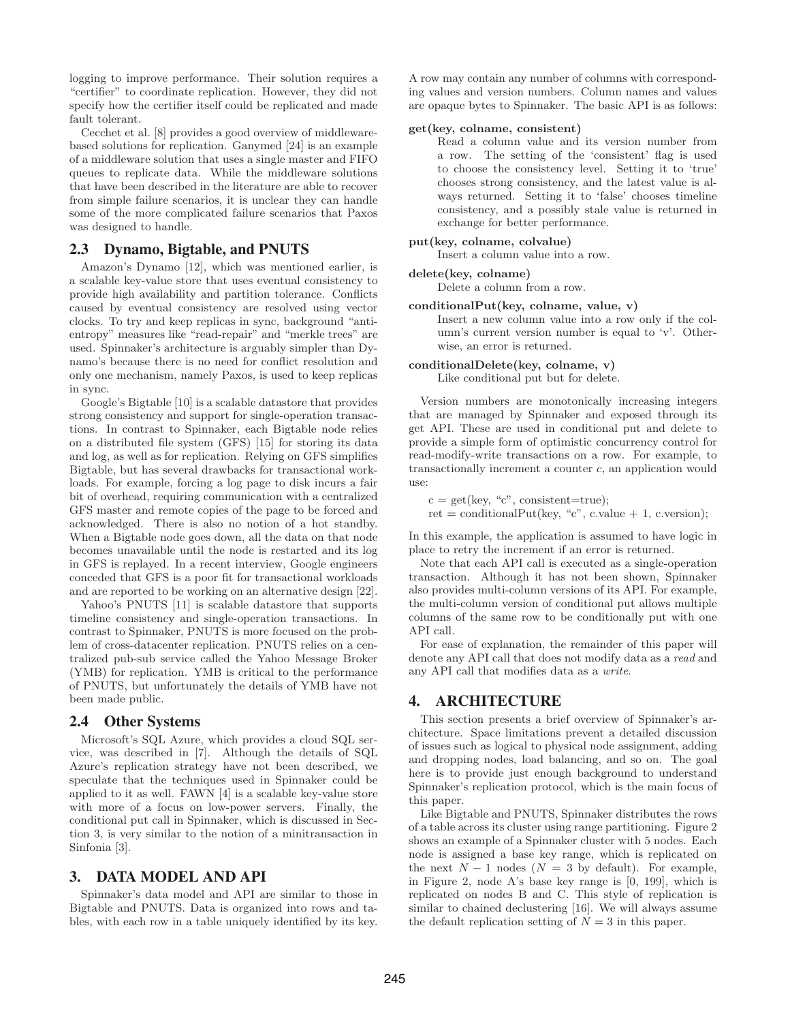logging to improve performance. Their solution requires a "certifier" to coordinate replication. However, they did not specify how the certifier itself could be replicated and made fault tolerant.

Cecchet et al. [8] provides a good overview of middlewarebased solutions for replication. Ganymed [24] is an example of a middleware solution that uses a single master and FIFO queues to replicate data. While the middleware solutions that have been described in the literature are able to recover from simple failure scenarios, it is unclear they can handle some of the more complicated failure scenarios that Paxos was designed to handle.

## **2.3 Dynamo, Bigtable, and PNUTS**

Amazon's Dynamo [12], which was mentioned earlier, is a scalable key-value store that uses eventual consistency to provide high availability and partition tolerance. Conflicts caused by eventual consistency are resolved using vector clocks. To try and keep replicas in sync, background "antientropy" measures like "read-repair" and "merkle trees" are used. Spinnaker's architecture is arguably simpler than Dynamo's because there is no need for conflict resolution and only one mechanism, namely Paxos, is used to keep replicas in sync.

Google's Bigtable [10] is a scalable datastore that provides strong consistency and support for single-operation transactions. In contrast to Spinnaker, each Bigtable node relies on a distributed file system (GFS) [15] for storing its data and log, as well as for replication. Relying on GFS simplifies Bigtable, but has several drawbacks for transactional workloads. For example, forcing a log page to disk incurs a fair bit of overhead, requiring communication with a centralized GFS master and remote copies of the page to be forced and acknowledged. There is also no notion of a hot standby. When a Bigtable node goes down, all the data on that node becomes unavailable until the node is restarted and its log in GFS is replayed. In a recent interview, Google engineers conceded that GFS is a poor fit for transactional workloads and are reported to be working on an alternative design [22].

Yahoo's PNUTS [11] is scalable datastore that supports timeline consistency and single-operation transactions. In contrast to Spinnaker, PNUTS is more focused on the problem of cross-datacenter replication. PNUTS relies on a centralized pub-sub service called the Yahoo Message Broker (YMB) for replication. YMB is critical to the performance of PNUTS, but unfortunately the details of YMB have not been made public.

## **2.4 Other Systems**

Microsoft's SQL Azure, which provides a cloud SQL service, was described in [7]. Although the details of SQL Azure's replication strategy have not been described, we speculate that the techniques used in Spinnaker could be applied to it as well. FAWN [4] is a scalable key-value store with more of a focus on low-power servers. Finally, the conditional put call in Spinnaker, which is discussed in Section 3, is very similar to the notion of a minitransaction in Sinfonia [3].

#### **3. DATA MODEL AND API**

Spinnaker's data model and API are similar to those in Bigtable and PNUTS. Data is organized into rows and tables, with each row in a table uniquely identified by its key.

A row may contain any number of columns with corresponding values and version numbers. Column names and values are opaque bytes to Spinnaker. The basic API is as follows:

#### get(key, colname, consistent)

Read a column value and its version number from a row. The setting of the 'consistent' flag is used to choose the consistency level. Setting it to 'true' chooses strong consistency, and the latest value is always returned. Setting it to 'false' chooses timeline consistency, and a possibly stale value is returned in exchange for better performance.

#### put(key, colname, colvalue)

Insert a column value into a row.

#### delete(key, colname)

Delete a column from a row.

#### conditionalPut(key, colname, value, v)

Insert a new column value into a row only if the column's current version number is equal to 'v'. Otherwise, an error is returned.

#### conditionalDelete(key, colname, v)

Like conditional put but for delete.

Version numbers are monotonically increasing integers that are managed by Spinnaker and exposed through its get API. These are used in conditional put and delete to provide a simple form of optimistic concurrency control for read-modify-write transactions on a row. For example, to transactionally increment a counter c, an application would use:

 $c = get(key, "c", consistent=true);$ ret = conditionalPut(key, "c", c.value + 1, c.version);

In this example, the application is assumed to have logic in place to retry the increment if an error is returned.

Note that each API call is executed as a single-operation transaction. Although it has not been shown, Spinnaker also provides multi-column versions of its API. For example, the multi-column version of conditional put allows multiple columns of the same row to be conditionally put with one API call.

For ease of explanation, the remainder of this paper will denote any API call that does not modify data as a read and any API call that modifies data as a write.

## **4. ARCHITECTURE**

This section presents a brief overview of Spinnaker's architecture. Space limitations prevent a detailed discussion of issues such as logical to physical node assignment, adding and dropping nodes, load balancing, and so on. The goal here is to provide just enough background to understand Spinnaker's replication protocol, which is the main focus of this paper.

Like Bigtable and PNUTS, Spinnaker distributes the rows of a table across its cluster using range partitioning. Figure 2 shows an example of a Spinnaker cluster with 5 nodes. Each node is assigned a base key range, which is replicated on the next  $N-1$  nodes  $(N = 3$  by default). For example, in Figure 2, node A's base key range is [0, 199], which is replicated on nodes B and C. This style of replication is similar to chained declustering [16]. We will always assume the default replication setting of  $N = 3$  in this paper.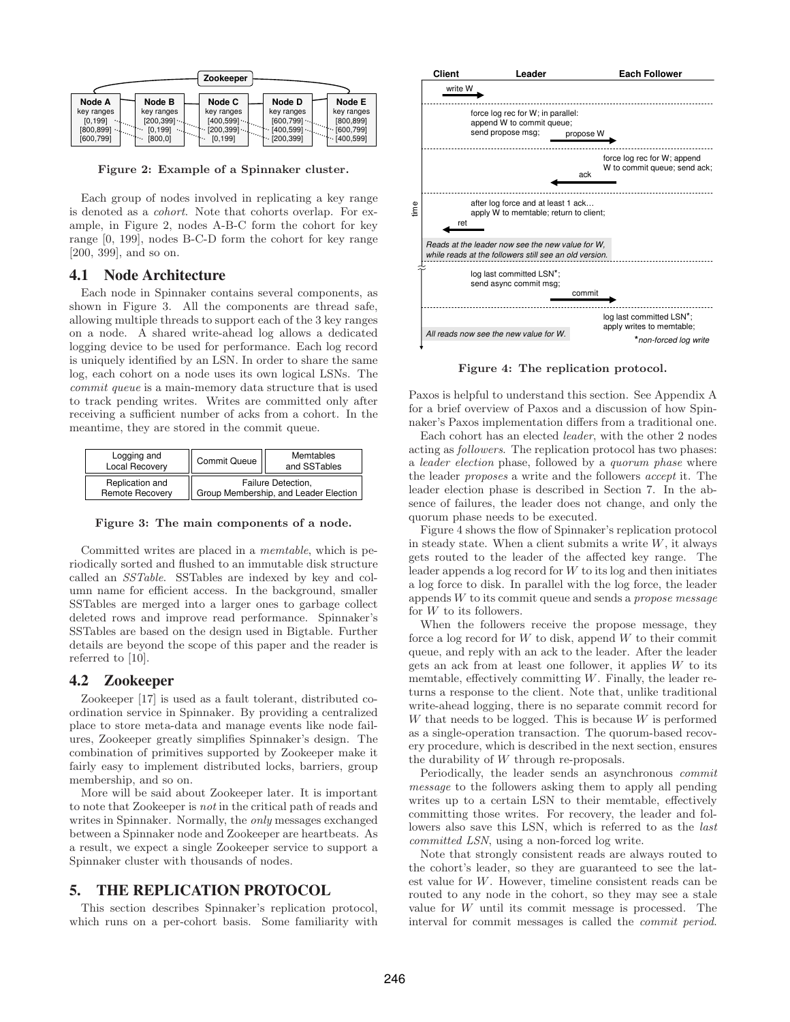| Zookeeper |                       |                                                        |                          |  |                                                       |  |            |  |            |  |  |
|-----------|-----------------------|--------------------------------------------------------|--------------------------|--|-------------------------------------------------------|--|------------|--|------------|--|--|
|           | Node A                |                                                        | Node B                   |  | Node C                                                |  | Node D     |  | Node E     |  |  |
|           | key ranges            |                                                        | key ranges               |  | key ranges                                            |  | key ranges |  | key ranges |  |  |
|           | [0, 199]<br>[800,899] | أحببها والمستأذان                                      | $[200, 399]$<br>[0, 199] |  | $[200,399]$ $\cdots$ $[200,399]$ $\cdots$ $[200,399]$ |  |            |  |            |  |  |
|           | [600,799]             | $\mathbb{R}^n$ , where $\mathbb{R}^n$ , $\mathbb{R}^n$ | [800, 0]                 |  |                                                       |  |            |  |            |  |  |

Figure 2: Example of a Spinnaker cluster.

Each group of nodes involved in replicating a key range is denoted as a cohort. Note that cohorts overlap. For example, in Figure 2, nodes A-B-C form the cohort for key range [0, 199], nodes B-C-D form the cohort for key range [200, 399], and so on.

#### **4.1 Node Architecture**

Each node in Spinnaker contains several components, as shown in Figure 3. All the components are thread safe, allowing multiple threads to support each of the 3 key ranges on a node. A shared write-ahead log allows a dedicated logging device to be used for performance. Each log record is uniquely identified by an LSN. In order to share the same log, each cohort on a node uses its own logical LSNs. The commit queue is a main-memory data structure that is used to track pending writes. Writes are committed only after receiving a sufficient number of acks from a cohort. In the meantime, they are stored in the commit queue.

| Logging and<br>Local Recovery | <b>Commit Queue</b>                   | Memtables<br>and SSTables |  |  |  |
|-------------------------------|---------------------------------------|---------------------------|--|--|--|
| Replication and               | Failure Detection,                    |                           |  |  |  |
| <b>Remote Recovery</b>        | Group Membership, and Leader Election |                           |  |  |  |

Figure 3: The main components of a node.

Committed writes are placed in a memtable, which is periodically sorted and flushed to an immutable disk structure called an SSTable. SSTables are indexed by key and column name for efficient access. In the background, smaller SSTables are merged into a larger ones to garbage collect deleted rows and improve read performance. Spinnaker's SSTables are based on the design used in Bigtable. Further details are beyond the scope of this paper and the reader is referred to [10].

#### **4.2 Zookeeper**

Zookeeper [17] is used as a fault tolerant, distributed coordination service in Spinnaker. By providing a centralized place to store meta-data and manage events like node failures, Zookeeper greatly simplifies Spinnaker's design. The combination of primitives supported by Zookeeper make it fairly easy to implement distributed locks, barriers, group membership, and so on.

More will be said about Zookeeper later. It is important to note that Zookeeper is not in the critical path of reads and writes in Spinnaker. Normally, the only messages exchanged between a Spinnaker node and Zookeeper are heartbeats. As a result, we expect a single Zookeeper service to support a Spinnaker cluster with thousands of nodes.

## **5. THE REPLICATION PROTOCOL**

This section describes Spinnaker's replication protocol, which runs on a per-cohort basis. Some familiarity with



Figure 4: The replication protocol.

Paxos is helpful to understand this section. See Appendix A for a brief overview of Paxos and a discussion of how Spinnaker's Paxos implementation differs from a traditional one.

Each cohort has an elected leader, with the other 2 nodes acting as followers. The replication protocol has two phases: a leader election phase, followed by a quorum phase where the leader proposes a write and the followers accept it. The leader election phase is described in Section 7. In the absence of failures, the leader does not change, and only the quorum phase needs to be executed.

Figure 4 shows the flow of Spinnaker's replication protocol in steady state. When a client submits a write  $W$ , it always gets routed to the leader of the affected key range. The leader appends a log record for  $W$  to its log and then initiates a log force to disk. In parallel with the log force, the leader appends W to its commit queue and sends a propose message for  $W$  to its followers.

When the followers receive the propose message, they force a log record for  $W$  to disk, append  $W$  to their commit queue, and reply with an ack to the leader. After the leader gets an ack from at least one follower, it applies  $W$  to its memtable, effectively committing  $W$ . Finally, the leader returns a response to the client. Note that, unlike traditional write-ahead logging, there is no separate commit record for W that needs to be logged. This is because  $W$  is performed as a single-operation transaction. The quorum-based recovery procedure, which is described in the next section, ensures the durability of W through re-proposals.

Periodically, the leader sends an asynchronous commit message to the followers asking them to apply all pending writes up to a certain LSN to their memtable, effectively committing those writes. For recovery, the leader and followers also save this LSN, which is referred to as the *last* committed LSN, using a non-forced log write.

Note that strongly consistent reads are always routed to the cohort's leader, so they are guaranteed to see the latest value for W. However, timeline consistent reads can be routed to any node in the cohort, so they may see a stale value for W until its commit message is processed. The interval for commit messages is called the commit period.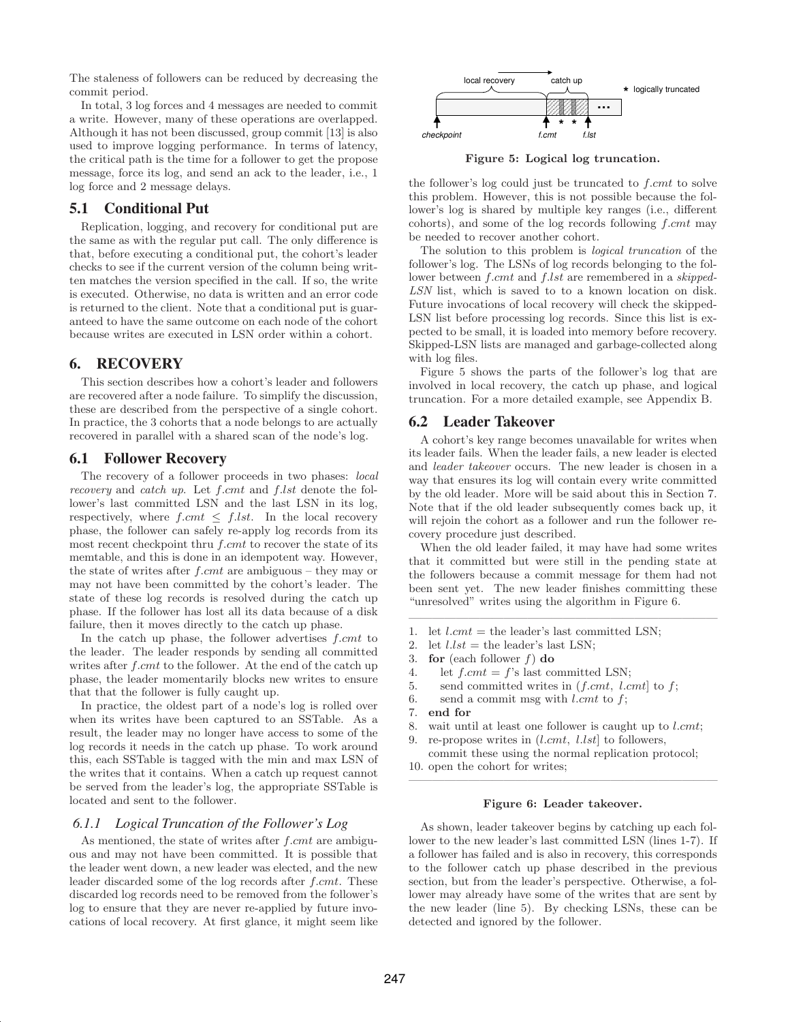The staleness of followers can be reduced by decreasing the commit period.

In total, 3 log forces and 4 messages are needed to commit a write. However, many of these operations are overlapped. Although it has not been discussed, group commit [13] is also used to improve logging performance. In terms of latency, the critical path is the time for a follower to get the propose message, force its log, and send an ack to the leader, i.e., 1 log force and 2 message delays.

#### **5.1 Conditional Put**

Replication, logging, and recovery for conditional put are the same as with the regular put call. The only difference is that, before executing a conditional put, the cohort's leader checks to see if the current version of the column being written matches the version specified in the call. If so, the write is executed. Otherwise, no data is written and an error code is returned to the client. Note that a conditional put is guaranteed to have the same outcome on each node of the cohort because writes are executed in LSN order within a cohort.

## **6. RECOVERY**

This section describes how a cohort's leader and followers are recovered after a node failure. To simplify the discussion, these are described from the perspective of a single cohort. In practice, the 3 cohorts that a node belongs to are actually recovered in parallel with a shared scan of the node's log.

#### **6.1 Follower Recovery**

The recovery of a follower proceeds in two phases: local recovery and catch up. Let f.cmt and f.lst denote the follower's last committed LSN and the last LSN in its log, respectively, where  $f. cmt \leq f. lst$ . In the local recovery phase, the follower can safely re-apply log records from its most recent checkpoint thru  $f.$ cmt to recover the state of its memtable, and this is done in an idempotent way. However, the state of writes after  $f.$ *cmt* are ambiguous – they may or may not have been committed by the cohort's leader. The state of these log records is resolved during the catch up phase. If the follower has lost all its data because of a disk failure, then it moves directly to the catch up phase.

In the catch up phase, the follower advertises  $f.$ cmt to the leader. The leader responds by sending all committed writes after  $f.$ cmt to the follower. At the end of the catch up phase, the leader momentarily blocks new writes to ensure that that the follower is fully caught up.

In practice, the oldest part of a node's log is rolled over when its writes have been captured to an SSTable. As a result, the leader may no longer have access to some of the log records it needs in the catch up phase. To work around this, each SSTable is tagged with the min and max LSN of the writes that it contains. When a catch up request cannot be served from the leader's log, the appropriate SSTable is located and sent to the follower.

#### *6.1.1 Logical Truncation of the Follower's Log*

As mentioned, the state of writes after f.cmt are ambiguous and may not have been committed. It is possible that the leader went down, a new leader was elected, and the new leader discarded some of the log records after f.cmt. These discarded log records need to be removed from the follower's log to ensure that they are never re-applied by future invocations of local recovery. At first glance, it might seem like



Figure 5: Logical log truncation.

the follower's log could just be truncated to  $f$ . *cmt* to solve this problem. However, this is not possible because the follower's log is shared by multiple key ranges (i.e., different cohorts), and some of the log records following f.cmt may be needed to recover another cohort.

The solution to this problem is logical truncation of the follower's log. The LSNs of log records belonging to the follower between f.cmt and f.lst are remembered in a skipped-LSN list, which is saved to to a known location on disk. Future invocations of local recovery will check the skipped-LSN list before processing log records. Since this list is expected to be small, it is loaded into memory before recovery. Skipped-LSN lists are managed and garbage-collected along with log files.

Figure 5 shows the parts of the follower's log that are involved in local recovery, the catch up phase, and logical truncation. For a more detailed example, see Appendix B.

#### **6.2 Leader Takeover**

A cohort's key range becomes unavailable for writes when its leader fails. When the leader fails, a new leader is elected and leader takeover occurs. The new leader is chosen in a way that ensures its log will contain every write committed by the old leader. More will be said about this in Section 7. Note that if the old leader subsequently comes back up, it will rejoin the cohort as a follower and run the follower recovery procedure just described.

When the old leader failed, it may have had some writes that it committed but were still in the pending state at the followers because a commit message for them had not been sent yet. The new leader finishes committing these "unresolved" writes using the algorithm in Figure 6.

 $\frac{1}{\sqrt{2}}$  , and the contract of the contract of the contract of the contract of the contract of the contract of the contract of the contract of the contract of the contract of the contract of the contract of the contra

- 1. let  $l. cmt =$  the leader's last committed LSN;
- 2. let  $l.lst =$  the leader's last LSN;
- 3. for (each follower  $f$ ) do
- 4. let  $f. cmt = f$ 's last committed LSN;
- 5. send committed writes in (f.cmt, l.cmt] to f;
- 6. send a commit msg with *l.cmt* to  $f$ ;
- 7. end for
- 8. wait until at least one follower is caught up to l.cmt;
- 9. re-propose writes in  $(l. cmt, l. lst]$  to followers,
- commit these using the normal replication protocol; 10. open the cohort for writes;

# $\frac{1}{\sqrt{2}}$  , and the contract of the contract of the contract of the contract of the contract of the contract of the contract of the contract of the contract of the contract of the contract of the contract of the contra Figure 6: Leader takeover.

As shown, leader takeover begins by catching up each follower to the new leader's last committed LSN (lines 1-7). If a follower has failed and is also in recovery, this corresponds to the follower catch up phase described in the previous section, but from the leader's perspective. Otherwise, a follower may already have some of the writes that are sent by the new leader (line 5). By checking LSNs, these can be detected and ignored by the follower.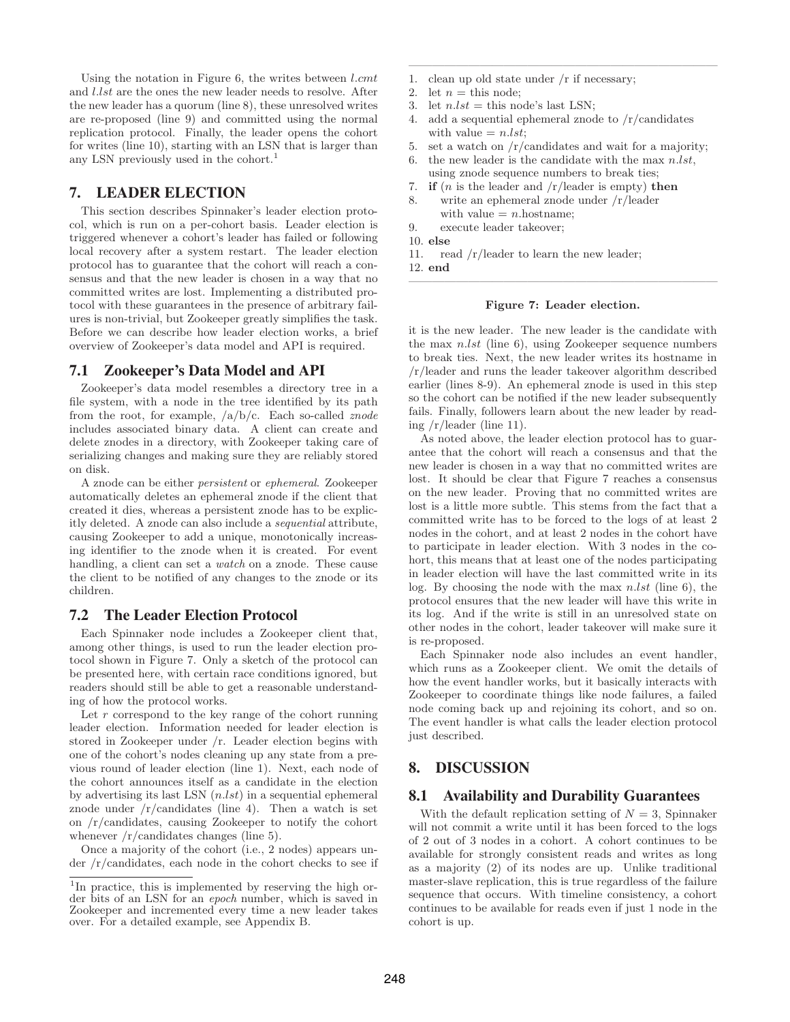Using the notation in Figure  $6$ , the writes between  $l.$ *cmt* and l.lst are the ones the new leader needs to resolve. After the new leader has a quorum (line 8), these unresolved writes are re-proposed (line 9) and committed using the normal replication protocol. Finally, the leader opens the cohort for writes (line 10), starting with an LSN that is larger than any LSN previously used in the cohort.<sup>1</sup>

## **7. LEADER ELECTION**

This section describes Spinnaker's leader election protocol, which is run on a per-cohort basis. Leader election is triggered whenever a cohort's leader has failed or following local recovery after a system restart. The leader election protocol has to guarantee that the cohort will reach a consensus and that the new leader is chosen in a way that no committed writes are lost. Implementing a distributed protocol with these guarantees in the presence of arbitrary failures is non-trivial, but Zookeeper greatly simplifies the task. Before we can describe how leader election works, a brief overview of Zookeeper's data model and API is required.

## **7.1 Zookeeper's Data Model and API**

Zookeeper's data model resembles a directory tree in a file system, with a node in the tree identified by its path from the root, for example,  $\langle a/b/c \rangle$ . Each so-called *znode* includes associated binary data. A client can create and delete znodes in a directory, with Zookeeper taking care of serializing changes and making sure they are reliably stored on disk.

A znode can be either persistent or ephemeral. Zookeeper automatically deletes an ephemeral znode if the client that created it dies, whereas a persistent znode has to be explicitly deleted. A znode can also include a sequential attribute, causing Zookeeper to add a unique, monotonically increasing identifier to the znode when it is created. For event handling, a client can set a *watch* on a znode. These cause the client to be notified of any changes to the znode or its children.

## **7.2 The Leader Election Protocol**

Each Spinnaker node includes a Zookeeper client that, among other things, is used to run the leader election protocol shown in Figure 7. Only a sketch of the protocol can be presented here, with certain race conditions ignored, but readers should still be able to get a reasonable understanding of how the protocol works.

Let  $r$  correspond to the key range of the cohort running leader election. Information needed for leader election is stored in Zookeeper under /r. Leader election begins with one of the cohort's nodes cleaning up any state from a previous round of leader election (line 1). Next, each node of the cohort announces itself as a candidate in the election by advertising its last LSN  $(n.lst)$  in a sequential ephemeral znode under  $/r/c$ andidates (line 4). Then a watch is set on /r/candidates, causing Zookeeper to notify the cohort whenever  $/r$ /candidates changes (line 5).

Once a majority of the cohort (i.e., 2 nodes) appears under /r/candidates, each node in the cohort checks to see if

- 1. clean up old state under /r if necessary;
- 2. let  $n =$  this node;
- 3. let  $n.lst =$  this node's last LSN;
- 4. add a sequential ephemeral znode to  $/r$ /candidates with value  $= n.1st$ ;
- 5. set a watch on /r/candidates and wait for a majority;

 $\frac{1}{\sqrt{2}}$  , and the contribution of  $\frac{1}{\sqrt{2}}$  , and  $\frac{1}{\sqrt{2}}$  , and  $\frac{1}{\sqrt{2}}$  , and  $\frac{1}{\sqrt{2}}$  , and  $\frac{1}{\sqrt{2}}$  , and  $\frac{1}{\sqrt{2}}$  , and  $\frac{1}{\sqrt{2}}$  , and  $\frac{1}{\sqrt{2}}$  , and  $\frac{1}{\sqrt{2}}$  , and  $\frac{1}{\sqrt{2}}$ 

- 6. the new leader is the candidate with the max  $n.1st$ , using znode sequence numbers to break ties;
- 7. if  $(n \text{ is the leader and } /r/\text{leader is empty})$  then 8. write an ephemeral znode under /r/leader
- with value  $= n$ . hostname;
- 9. execute leader takeover;
- 10. else
- 11. read /r/leader to learn the new leader;
- 12. end

# $\frac{1}{\sqrt{2}}$  , and the contract of the contract of the contract of the contract of the contract of the contract of the contract of the contract of the contract of the contract of the contract of the contract of the contra Figure 7: Leader election.

it is the new leader. The new leader is the candidate with the max n.lst (line 6), using Zookeeper sequence numbers to break ties. Next, the new leader writes its hostname in /r/leader and runs the leader takeover algorithm described earlier (lines 8-9). An ephemeral znode is used in this step so the cohort can be notified if the new leader subsequently fails. Finally, followers learn about the new leader by reading /r/leader (line 11).

As noted above, the leader election protocol has to guarantee that the cohort will reach a consensus and that the new leader is chosen in a way that no committed writes are lost. It should be clear that Figure 7 reaches a consensus on the new leader. Proving that no committed writes are lost is a little more subtle. This stems from the fact that a committed write has to be forced to the logs of at least 2 nodes in the cohort, and at least 2 nodes in the cohort have to participate in leader election. With 3 nodes in the cohort, this means that at least one of the nodes participating in leader election will have the last committed write in its log. By choosing the node with the max  $n.lst$  (line 6), the protocol ensures that the new leader will have this write in its log. And if the write is still in an unresolved state on other nodes in the cohort, leader takeover will make sure it is re-proposed.

Each Spinnaker node also includes an event handler, which runs as a Zookeeper client. We omit the details of how the event handler works, but it basically interacts with Zookeeper to coordinate things like node failures, a failed node coming back up and rejoining its cohort, and so on. The event handler is what calls the leader election protocol just described.

# **8. DISCUSSION**

### **8.1 Availability and Durability Guarantees**

With the default replication setting of  $N = 3$ , Spinnaker will not commit a write until it has been forced to the logs of 2 out of 3 nodes in a cohort. A cohort continues to be available for strongly consistent reads and writes as long as a majority (2) of its nodes are up. Unlike traditional master-slave replication, this is true regardless of the failure sequence that occurs. With timeline consistency, a cohort continues to be available for reads even if just 1 node in the cohort is up.

<sup>&</sup>lt;sup>1</sup>In practice, this is implemented by reserving the high order bits of an LSN for an epoch number, which is saved in Zookeeper and incremented every time a new leader takes over. For a detailed example, see Appendix B.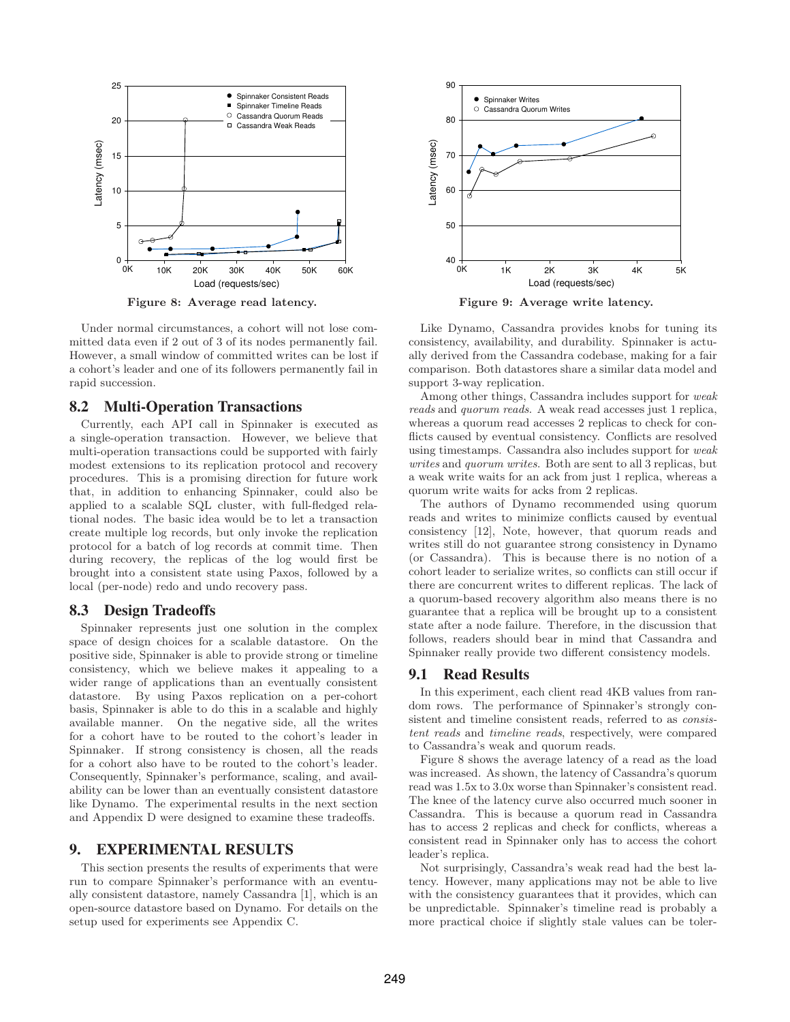

Figure 8: Average read latency. Figure 9: Average write latency.

Under normal circumstances, a cohort will not lose committed data even if 2 out of 3 of its nodes permanently fail. However, a small window of committed writes can be lost if a cohort's leader and one of its followers permanently fail in rapid succession.

#### **8.2 Multi-Operation Transactions**

Currently, each API call in Spinnaker is executed as a single-operation transaction. However, we believe that multi-operation transactions could be supported with fairly modest extensions to its replication protocol and recovery procedures. This is a promising direction for future work that, in addition to enhancing Spinnaker, could also be applied to a scalable SQL cluster, with full-fledged relational nodes. The basic idea would be to let a transaction create multiple log records, but only invoke the replication protocol for a batch of log records at commit time. Then during recovery, the replicas of the log would first be brought into a consistent state using Paxos, followed by a local (per-node) redo and undo recovery pass.

### **8.3 Design Tradeoffs**

Spinnaker represents just one solution in the complex space of design choices for a scalable datastore. On the positive side, Spinnaker is able to provide strong or timeline consistency, which we believe makes it appealing to a wider range of applications than an eventually consistent datastore. By using Paxos replication on a per-cohort basis, Spinnaker is able to do this in a scalable and highly available manner. On the negative side, all the writes for a cohort have to be routed to the cohort's leader in Spinnaker. If strong consistency is chosen, all the reads for a cohort also have to be routed to the cohort's leader. Consequently, Spinnaker's performance, scaling, and availability can be lower than an eventually consistent datastore like Dynamo. The experimental results in the next section and Appendix D were designed to examine these tradeoffs.

#### **9. EXPERIMENTAL RESULTS**

This section presents the results of experiments that were run to compare Spinnaker's performance with an eventually consistent datastore, namely Cassandra [1], which is an open-source datastore based on Dynamo. For details on the setup used for experiments see Appendix C.



Like Dynamo, Cassandra provides knobs for tuning its consistency, availability, and durability. Spinnaker is actually derived from the Cassandra codebase, making for a fair comparison. Both datastores share a similar data model and support 3-way replication.

Among other things, Cassandra includes support for weak reads and quorum reads. A weak read accesses just 1 replica, whereas a quorum read accesses 2 replicas to check for conflicts caused by eventual consistency. Conflicts are resolved using timestamps. Cassandra also includes support for weak writes and quorum writes. Both are sent to all 3 replicas, but a weak write waits for an ack from just 1 replica, whereas a quorum write waits for acks from 2 replicas.

The authors of Dynamo recommended using quorum reads and writes to minimize conflicts caused by eventual consistency [12], Note, however, that quorum reads and writes still do not guarantee strong consistency in Dynamo (or Cassandra). This is because there is no notion of a cohort leader to serialize writes, so conflicts can still occur if there are concurrent writes to different replicas. The lack of a quorum-based recovery algorithm also means there is no guarantee that a replica will be brought up to a consistent state after a node failure. Therefore, in the discussion that follows, readers should bear in mind that Cassandra and Spinnaker really provide two different consistency models.

## **9.1 Read Results**

In this experiment, each client read 4KB values from random rows. The performance of Spinnaker's strongly consistent and timeline consistent reads, referred to as consistent reads and timeline reads, respectively, were compared to Cassandra's weak and quorum reads.

Figure 8 shows the average latency of a read as the load was increased. As shown, the latency of Cassandra's quorum read was 1.5x to 3.0x worse than Spinnaker's consistent read. The knee of the latency curve also occurred much sooner in Cassandra. This is because a quorum read in Cassandra has to access 2 replicas and check for conflicts, whereas a consistent read in Spinnaker only has to access the cohort leader's replica.

Not surprisingly, Cassandra's weak read had the best latency. However, many applications may not be able to live with the consistency guarantees that it provides, which can be unpredictable. Spinnaker's timeline read is probably a more practical choice if slightly stale values can be toler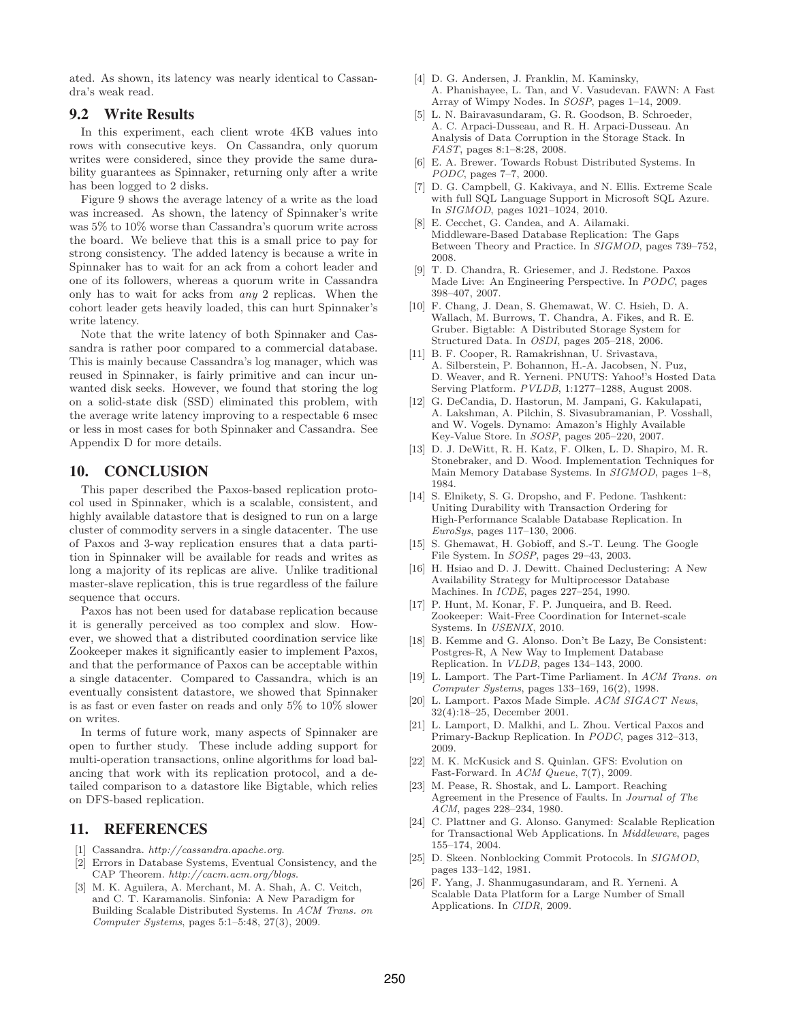ated. As shown, its latency was nearly identical to Cassandra's weak read.

## **9.2 Write Results**

In this experiment, each client wrote 4KB values into rows with consecutive keys. On Cassandra, only quorum writes were considered, since they provide the same durability guarantees as Spinnaker, returning only after a write has been logged to 2 disks.

Figure 9 shows the average latency of a write as the load was increased. As shown, the latency of Spinnaker's write was 5% to 10% worse than Cassandra's quorum write across the board. We believe that this is a small price to pay for strong consistency. The added latency is because a write in Spinnaker has to wait for an ack from a cohort leader and one of its followers, whereas a quorum write in Cassandra only has to wait for acks from any 2 replicas. When the cohort leader gets heavily loaded, this can hurt Spinnaker's write latency.

Note that the write latency of both Spinnaker and Cassandra is rather poor compared to a commercial database. This is mainly because Cassandra's log manager, which was reused in Spinnaker, is fairly primitive and can incur unwanted disk seeks. However, we found that storing the log on a solid-state disk (SSD) eliminated this problem, with the average write latency improving to a respectable 6 msec or less in most cases for both Spinnaker and Cassandra. See Appendix D for more details.

## **10. CONCLUSION**

This paper described the Paxos-based replication protocol used in Spinnaker, which is a scalable, consistent, and highly available datastore that is designed to run on a large cluster of commodity servers in a single datacenter. The use of Paxos and 3-way replication ensures that a data partition in Spinnaker will be available for reads and writes as long a majority of its replicas are alive. Unlike traditional master-slave replication, this is true regardless of the failure sequence that occurs.

Paxos has not been used for database replication because it is generally perceived as too complex and slow. However, we showed that a distributed coordination service like Zookeeper makes it significantly easier to implement Paxos, and that the performance of Paxos can be acceptable within a single datacenter. Compared to Cassandra, which is an eventually consistent datastore, we showed that Spinnaker is as fast or even faster on reads and only 5% to 10% slower on writes.

In terms of future work, many aspects of Spinnaker are open to further study. These include adding support for multi-operation transactions, online algorithms for load balancing that work with its replication protocol, and a detailed comparison to a datastore like Bigtable, which relies on DFS-based replication.

# **11. REFERENCES**

- [1] Cassandra. *http://cassandra.apache.org*.
- [2] Errors in Database Systems, Eventual Consistency, and the CAP Theorem. *http://cacm.acm.org/blogs*.
- [3] M. K. Aguilera, A. Merchant, M. A. Shah, A. C. Veitch, and C. T. Karamanolis. Sinfonia: A New Paradigm for Building Scalable Distributed Systems. In *ACM Trans. on Computer Systems*, pages 5:1–5:48, 27(3), 2009.
- [4] D. G. Andersen, J. Franklin, M. Kaminsky, A. Phanishayee, L. Tan, and V. Vasudevan. FAWN: A Fast Array of Wimpy Nodes. In *SOSP*, pages 1–14, 2009.
- [5] L. N. Bairavasundaram, G. R. Goodson, B. Schroeder, A. C. Arpaci-Dusseau, and R. H. Arpaci-Dusseau. An Analysis of Data Corruption in the Storage Stack. In *FAST*, pages 8:1–8:28, 2008.
- [6] E. A. Brewer. Towards Robust Distributed Systems. In *PODC*, pages 7–7, 2000.
- [7] D. G. Campbell, G. Kakivaya, and N. Ellis. Extreme Scale with full SQL Language Support in Microsoft SQL Azure. In *SIGMOD*, pages 1021–1024, 2010.
- [8] E. Cecchet, G. Candea, and A. Ailamaki. Middleware-Based Database Replication: The Gaps Between Theory and Practice. In *SIGMOD*, pages 739–752, 2008.
- [9] T. D. Chandra, R. Griesemer, and J. Redstone. Paxos Made Live: An Engineering Perspective. In *PODC*, pages 398–407, 2007.
- [10] F. Chang, J. Dean, S. Ghemawat, W. C. Hsieh, D. A. Wallach, M. Burrows, T. Chandra, A. Fikes, and R. E. Gruber. Bigtable: A Distributed Storage System for Structured Data. In *OSDI*, pages 205–218, 2006.
- [11] B. F. Cooper, R. Ramakrishnan, U. Srivastava, A. Silberstein, P. Bohannon, H.-A. Jacobsen, N. Puz, D. Weaver, and R. Yerneni. PNUTS: Yahoo!'s Hosted Data Serving Platform. *PVLDB*, 1:1277–1288, August 2008.
- [12] G. DeCandia, D. Hastorun, M. Jampani, G. Kakulapati, A. Lakshman, A. Pilchin, S. Sivasubramanian, P. Vosshall, and W. Vogels. Dynamo: Amazon's Highly Available Key-Value Store. In *SOSP*, pages 205–220, 2007.
- [13] D. J. DeWitt, R. H. Katz, F. Olken, L. D. Shapiro, M. R. Stonebraker, and D. Wood. Implementation Techniques for Main Memory Database Systems. In *SIGMOD*, pages 1–8, 1984.
- [14] S. Elnikety, S. G. Dropsho, and F. Pedone. Tashkent: Uniting Durability with Transaction Ordering for High-Performance Scalable Database Replication. In *EuroSys*, pages 117–130, 2006.
- [15] S. Ghemawat, H. Gobioff, and S.-T. Leung. The Google File System. In *SOSP*, pages 29–43, 2003.
- [16] H. Hsiao and D. J. Dewitt. Chained Declustering: A New Availability Strategy for Multiprocessor Database Machines. In *ICDE*, pages 227–254, 1990.
- [17] P. Hunt, M. Konar, F. P. Junqueira, and B. Reed. Zookeeper: Wait-Free Coordination for Internet-scale Systems. In *USENIX*, 2010.
- [18] B. Kemme and G. Alonso. Don't Be Lazy, Be Consistent: Postgres-R, A New Way to Implement Database Replication. In *VLDB*, pages 134–143, 2000.
- [19] L. Lamport. The Part-Time Parliament. In *ACM Trans. on Computer Systems*, pages 133–169, 16(2), 1998.
- [20] L. Lamport. Paxos Made Simple. *ACM SIGACT News*, 32(4):18–25, December 2001.
- [21] L. Lamport, D. Malkhi, and L. Zhou. Vertical Paxos and Primary-Backup Replication. In *PODC*, pages 312–313, 2009.
- [22] M. K. McKusick and S. Quinlan. GFS: Evolution on Fast-Forward. In *ACM Queue*, 7(7), 2009.
- [23] M. Pease, R. Shostak, and L. Lamport. Reaching Agreement in the Presence of Faults. In *Journal of The ACM*, pages 228–234, 1980.
- [24] C. Plattner and G. Alonso. Ganymed: Scalable Replication for Transactional Web Applications. In *Middleware*, pages 155–174, 2004.
- [25] D. Skeen. Nonblocking Commit Protocols. In *SIGMOD*, pages 133–142, 1981.
- [26] F. Yang, J. Shanmugasundaram, and R. Yerneni. A Scalable Data Platform for a Large Number of Small Applications. In *CIDR*, 2009.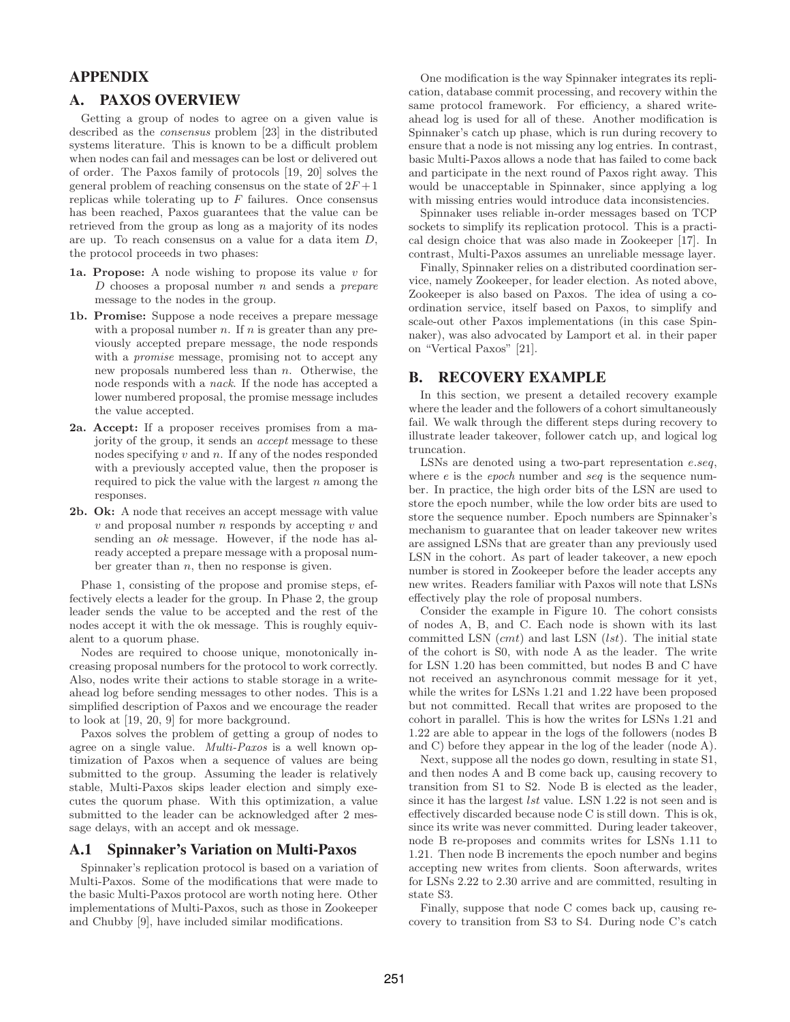# **APPENDIX**

# **A. PAXOS OVERVIEW**

Getting a group of nodes to agree on a given value is described as the consensus problem [23] in the distributed systems literature. This is known to be a difficult problem when nodes can fail and messages can be lost or delivered out of order. The Paxos family of protocols [19, 20] solves the general problem of reaching consensus on the state of  $2F + 1$ replicas while tolerating up to  $F$  failures. Once consensus has been reached, Paxos guarantees that the value can be retrieved from the group as long as a majority of its nodes are up. To reach consensus on a value for a data item D, the protocol proceeds in two phases:

- 1a. Propose: A node wishing to propose its value  $v$  for D chooses a proposal number  $n$  and sends a *prepare* message to the nodes in the group.
- 1b. Promise: Suppose a node receives a prepare message with a proposal number  $n$ . If  $n$  is greater than any previously accepted prepare message, the node responds with a *promise* message, promising not to accept any new proposals numbered less than  $n$ . Otherwise, the node responds with a nack. If the node has accepted a lower numbered proposal, the promise message includes the value accepted.
- 2a. Accept: If a proposer receives promises from a majority of the group, it sends an *accept* message to these nodes specifying  $v$  and  $n$ . If any of the nodes responded with a previously accepted value, then the proposer is required to pick the value with the largest  $n$  among the responses.
- 2b. Ok: A node that receives an accept message with value  $v$  and proposal number  $n$  responds by accepting  $v$  and sending an ok message. However, if the node has already accepted a prepare message with a proposal number greater than  $n$ , then no response is given.

Phase 1, consisting of the propose and promise steps, effectively elects a leader for the group. In Phase 2, the group leader sends the value to be accepted and the rest of the nodes accept it with the ok message. This is roughly equivalent to a quorum phase.

Nodes are required to choose unique, monotonically increasing proposal numbers for the protocol to work correctly. Also, nodes write their actions to stable storage in a writeahead log before sending messages to other nodes. This is a simplified description of Paxos and we encourage the reader to look at [19, 20, 9] for more background.

Paxos solves the problem of getting a group of nodes to agree on a single value. Multi-Paxos is a well known optimization of Paxos when a sequence of values are being submitted to the group. Assuming the leader is relatively stable, Multi-Paxos skips leader election and simply executes the quorum phase. With this optimization, a value submitted to the leader can be acknowledged after 2 message delays, with an accept and ok message.

### **A.1 Spinnaker's Variation on Multi-Paxos**

Spinnaker's replication protocol is based on a variation of Multi-Paxos. Some of the modifications that were made to the basic Multi-Paxos protocol are worth noting here. Other implementations of Multi-Paxos, such as those in Zookeeper and Chubby [9], have included similar modifications.

One modification is the way Spinnaker integrates its replication, database commit processing, and recovery within the same protocol framework. For efficiency, a shared writeahead log is used for all of these. Another modification is Spinnaker's catch up phase, which is run during recovery to ensure that a node is not missing any log entries. In contrast, basic Multi-Paxos allows a node that has failed to come back and participate in the next round of Paxos right away. This would be unacceptable in Spinnaker, since applying a log with missing entries would introduce data inconsistencies.

Spinnaker uses reliable in-order messages based on TCP sockets to simplify its replication protocol. This is a practical design choice that was also made in Zookeeper [17]. In contrast, Multi-Paxos assumes an unreliable message layer.

Finally, Spinnaker relies on a distributed coordination service, namely Zookeeper, for leader election. As noted above, Zookeeper is also based on Paxos. The idea of using a coordination service, itself based on Paxos, to simplify and scale-out other Paxos implementations (in this case Spinnaker), was also advocated by Lamport et al. in their paper on "Vertical Paxos" [21].

## **B. RECOVERY EXAMPLE**

In this section, we present a detailed recovery example where the leader and the followers of a cohort simultaneously fail. We walk through the different steps during recovery to illustrate leader takeover, follower catch up, and logical log truncation.

LSNs are denoted using a two-part representation e.seq, where  $e$  is the *epoch* number and  $seq$  is the sequence number. In practice, the high order bits of the LSN are used to store the epoch number, while the low order bits are used to store the sequence number. Epoch numbers are Spinnaker's mechanism to guarantee that on leader takeover new writes are assigned LSNs that are greater than any previously used LSN in the cohort. As part of leader takeover, a new epoch number is stored in Zookeeper before the leader accepts any new writes. Readers familiar with Paxos will note that LSNs effectively play the role of proposal numbers.

Consider the example in Figure 10. The cohort consists of nodes A, B, and C. Each node is shown with its last committed LSN  $(cmt)$  and last LSN  $(lst)$ . The initial state of the cohort is S0, with node A as the leader. The write for LSN 1.20 has been committed, but nodes B and C have not received an asynchronous commit message for it yet, while the writes for LSNs 1.21 and 1.22 have been proposed but not committed. Recall that writes are proposed to the cohort in parallel. This is how the writes for LSNs 1.21 and 1.22 are able to appear in the logs of the followers (nodes B and C) before they appear in the log of the leader (node A).

Next, suppose all the nodes go down, resulting in state S1, and then nodes A and B come back up, causing recovery to transition from S1 to S2. Node B is elected as the leader, since it has the largest lst value. LSN 1.22 is not seen and is effectively discarded because node C is still down. This is ok, since its write was never committed. During leader takeover, node B re-proposes and commits writes for LSNs 1.11 to 1.21. Then node B increments the epoch number and begins accepting new writes from clients. Soon afterwards, writes for LSNs 2.22 to 2.30 arrive and are committed, resulting in state S3.

Finally, suppose that node C comes back up, causing recovery to transition from S3 to S4. During node C's catch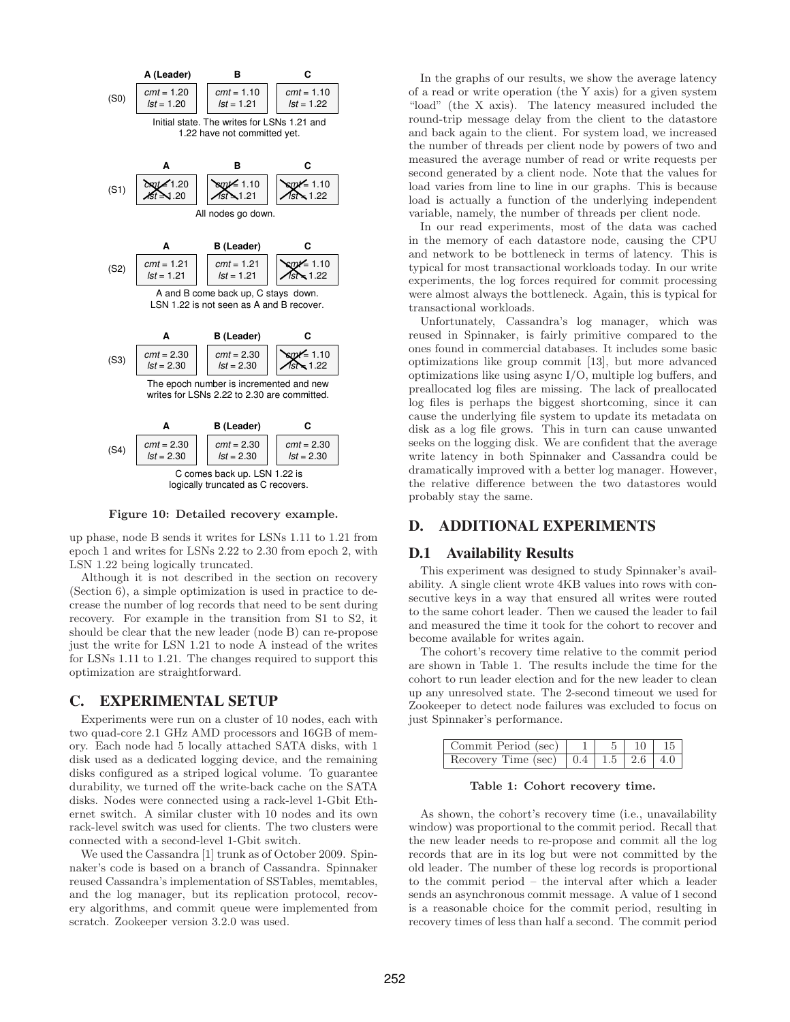

Figure 10: Detailed recovery example.

up phase, node B sends it writes for LSNs 1.11 to 1.21 from epoch 1 and writes for LSNs 2.22 to 2.30 from epoch 2, with LSN 1.22 being logically truncated.

Although it is not described in the section on recovery (Section 6), a simple optimization is used in practice to decrease the number of log records that need to be sent during recovery. For example in the transition from S1 to S2, it should be clear that the new leader (node B) can re-propose just the write for LSN 1.21 to node A instead of the writes for LSNs 1.11 to 1.21. The changes required to support this optimization are straightforward.

## **C. EXPERIMENTAL SETUP**

Experiments were run on a cluster of 10 nodes, each with two quad-core 2.1 GHz AMD processors and 16GB of memory. Each node had 5 locally attached SATA disks, with 1 disk used as a dedicated logging device, and the remaining disks configured as a striped logical volume. To guarantee durability, we turned off the write-back cache on the SATA disks. Nodes were connected using a rack-level 1-Gbit Ethernet switch. A similar cluster with 10 nodes and its own rack-level switch was used for clients. The two clusters were connected with a second-level 1-Gbit switch.

We used the Cassandra [1] trunk as of October 2009. Spinnaker's code is based on a branch of Cassandra. Spinnaker reused Cassandra's implementation of SSTables, memtables, and the log manager, but its replication protocol, recovery algorithms, and commit queue were implemented from scratch. Zookeeper version 3.2.0 was used.

In the graphs of our results, we show the average latency of a read or write operation (the Y axis) for a given system "load" (the X axis). The latency measured included the round-trip message delay from the client to the datastore and back again to the client. For system load, we increased the number of threads per client node by powers of two and measured the average number of read or write requests per second generated by a client node. Note that the values for load varies from line to line in our graphs. This is because load is actually a function of the underlying independent variable, namely, the number of threads per client node.

In our read experiments, most of the data was cached in the memory of each datastore node, causing the CPU and network to be bottleneck in terms of latency. This is typical for most transactional workloads today. In our write experiments, the log forces required for commit processing were almost always the bottleneck. Again, this is typical for transactional workloads.

Unfortunately, Cassandra's log manager, which was reused in Spinnaker, is fairly primitive compared to the ones found in commercial databases. It includes some basic optimizations like group commit [13], but more advanced optimizations like using async I/O, multiple log buffers, and preallocated log files are missing. The lack of preallocated log files is perhaps the biggest shortcoming, since it can cause the underlying file system to update its metadata on disk as a log file grows. This in turn can cause unwanted seeks on the logging disk. We are confident that the average write latency in both Spinnaker and Cassandra could be dramatically improved with a better log manager. However, the relative difference between the two datastores would probably stay the same.

# **D. ADDITIONAL EXPERIMENTS**

#### **D.1 Availability Results**

This experiment was designed to study Spinnaker's availability. A single client wrote 4KB values into rows with consecutive keys in a way that ensured all writes were routed to the same cohort leader. Then we caused the leader to fail and measured the time it took for the cohort to recover and become available for writes again.

The cohort's recovery time relative to the commit period are shown in Table 1. The results include the time for the cohort to run leader election and for the new leader to clean up any unresolved state. The 2-second timeout we used for Zookeeper to detect node failures was excluded to focus on just Spinnaker's performance.

| Commit Period (sec)   1   5   10   15 |  |  |
|---------------------------------------|--|--|
| Recovery Time (sec) 0.4 1.5 2.6 4.0   |  |  |

Table 1: Cohort recovery time.

As shown, the cohort's recovery time (i.e., unavailability window) was proportional to the commit period. Recall that the new leader needs to re-propose and commit all the log records that are in its log but were not committed by the old leader. The number of these log records is proportional to the commit period – the interval after which a leader sends an asynchronous commit message. A value of 1 second is a reasonable choice for the commit period, resulting in recovery times of less than half a second. The commit period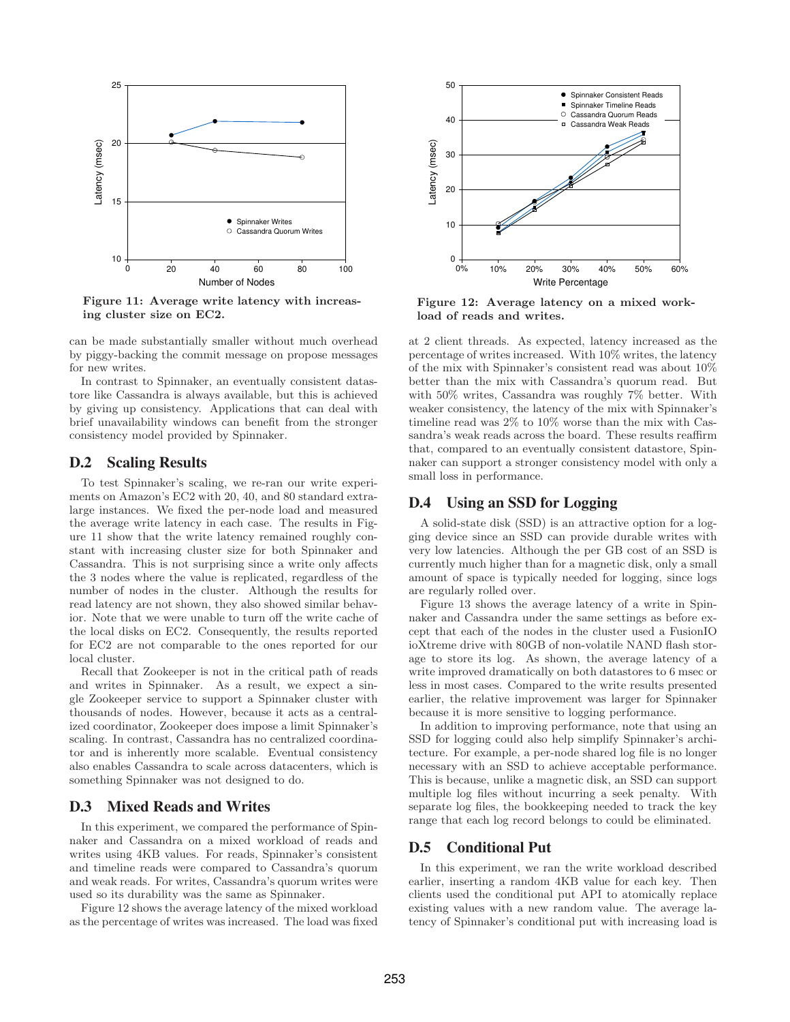

Figure 11: Average write latency with increasing cluster size on EC2.

can be made substantially smaller without much overhead by piggy-backing the commit message on propose messages for new writes.

In contrast to Spinnaker, an eventually consistent datastore like Cassandra is always available, but this is achieved by giving up consistency. Applications that can deal with brief unavailability windows can benefit from the stronger consistency model provided by Spinnaker.

#### **D.2 Scaling Results**

To test Spinnaker's scaling, we re-ran our write experiments on Amazon's EC2 with 20, 40, and 80 standard extralarge instances. We fixed the per-node load and measured the average write latency in each case. The results in Figure 11 show that the write latency remained roughly constant with increasing cluster size for both Spinnaker and Cassandra. This is not surprising since a write only affects the 3 nodes where the value is replicated, regardless of the number of nodes in the cluster. Although the results for read latency are not shown, they also showed similar behavior. Note that we were unable to turn off the write cache of the local disks on EC2. Consequently, the results reported for EC2 are not comparable to the ones reported for our local cluster.

Recall that Zookeeper is not in the critical path of reads and writes in Spinnaker. As a result, we expect a single Zookeeper service to support a Spinnaker cluster with thousands of nodes. However, because it acts as a centralized coordinator, Zookeeper does impose a limit Spinnaker's scaling. In contrast, Cassandra has no centralized coordinator and is inherently more scalable. Eventual consistency also enables Cassandra to scale across datacenters, which is something Spinnaker was not designed to do.

## **D.3 Mixed Reads and Writes**

In this experiment, we compared the performance of Spinnaker and Cassandra on a mixed workload of reads and writes using 4KB values. For reads, Spinnaker's consistent and timeline reads were compared to Cassandra's quorum and weak reads. For writes, Cassandra's quorum writes were used so its durability was the same as Spinnaker.

Figure 12 shows the average latency of the mixed workload as the percentage of writes was increased. The load was fixed



Figure 12: Average latency on a mixed workload of reads and writes.

at 2 client threads. As expected, latency increased as the percentage of writes increased. With 10% writes, the latency of the mix with Spinnaker's consistent read was about 10% better than the mix with Cassandra's quorum read. But with 50% writes, Cassandra was roughly 7% better. With weaker consistency, the latency of the mix with Spinnaker's timeline read was 2% to 10% worse than the mix with Cassandra's weak reads across the board. These results reaffirm that, compared to an eventually consistent datastore, Spinnaker can support a stronger consistency model with only a small loss in performance.

## **D.4 Using an SSD for Logging**

A solid-state disk (SSD) is an attractive option for a logging device since an SSD can provide durable writes with very low latencies. Although the per GB cost of an SSD is currently much higher than for a magnetic disk, only a small amount of space is typically needed for logging, since logs are regularly rolled over.

Figure 13 shows the average latency of a write in Spinnaker and Cassandra under the same settings as before except that each of the nodes in the cluster used a FusionIO ioXtreme drive with 80GB of non-volatile NAND flash storage to store its log. As shown, the average latency of a write improved dramatically on both datastores to 6 msec or less in most cases. Compared to the write results presented earlier, the relative improvement was larger for Spinnaker because it is more sensitive to logging performance.

In addition to improving performance, note that using an SSD for logging could also help simplify Spinnaker's architecture. For example, a per-node shared log file is no longer necessary with an SSD to achieve acceptable performance. This is because, unlike a magnetic disk, an SSD can support multiple log files without incurring a seek penalty. With separate log files, the bookkeeping needed to track the key range that each log record belongs to could be eliminated.

### **D.5 Conditional Put**

In this experiment, we ran the write workload described earlier, inserting a random 4KB value for each key. Then clients used the conditional put API to atomically replace existing values with a new random value. The average latency of Spinnaker's conditional put with increasing load is